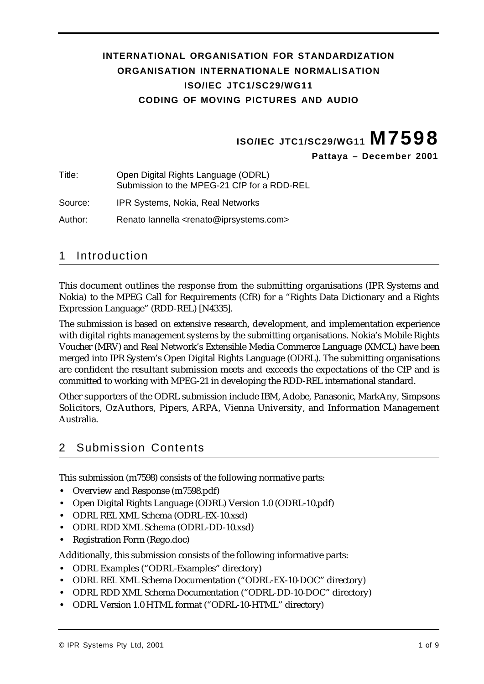#### **INTERNATIONAL ORGANISATION FOR STANDARDIZATION ORGANISATION INTERNATIONALE NORMALISATION ISO/IEC JTC1/SC29/WG11 CODING OF MOVING PICTURES AND AUDIO**

**ISO/IEC JTC1/SC29/WG11 M7598**

**Pattaya – December 2001**

Title: Open Digital Rights Language (ODRL) Submission to the MPEG-21 CfP for a RDD-REL

Source: IPR Systems, Nokia, Real Networks

Author: Renato Iannella <renato@iprsystems.com>

#### 1 Introduction

This document outlines the response from the submitting organisations (IPR Systems and Nokia) to the MPEG Call for Requirements (CfR) for a "Rights Data Dictionary and a Rights Expression Language" (RDD-REL) [N4335].

The submission is based on extensive research, development, and implementation experience with digital rights management systems by the submitting organisations. Nokia's Mobile Rights Voucher (MRV) and Real Network's Extensible Media Commerce Language (XMCL) have been merged into IPR System's Open Digital Rights Language (ODRL). The submitting organisations are confident the resultant submission meets and exceeds the expectations of the CfP and is committed to working with MPEG-21 in developing the RDD-REL international standard.

Other supporters of the ODRL submission include IBM, Adobe, Panasonic, MarkAny, Simpsons Solicitors, OzAuthors, Pipers, ARPA, Vienna University, and Information Management Australia.

# 2 Submission Contents

This submission (m7598) consists of the following normative parts:

- **•** Overview and Response (m7598.pdf)
- **•** Open Digital Rights Language (ODRL) Version 1.0 (ODRL-10.pdf)
- **•** ODRL REL XML Schema (ODRL-EX-10.xsd)
- **•** ODRL RDD XML Schema (ODRL-DD-10.xsd)
- **•** Registration Form (Rego.doc)

Additionally, this submission consists of the following informative parts:

- **•** ODRL Examples ("ODRL-Examples" directory)
- **•** ODRL REL XML Schema Documentation ("ODRL-EX-10-DOC" directory)
- **•** ODRL RDD XML Schema Documentation ("ODRL-DD-10-DOC" directory)
- **•** ODRL Version 1.0 HTML format ("ODRL-10-HTML" directory)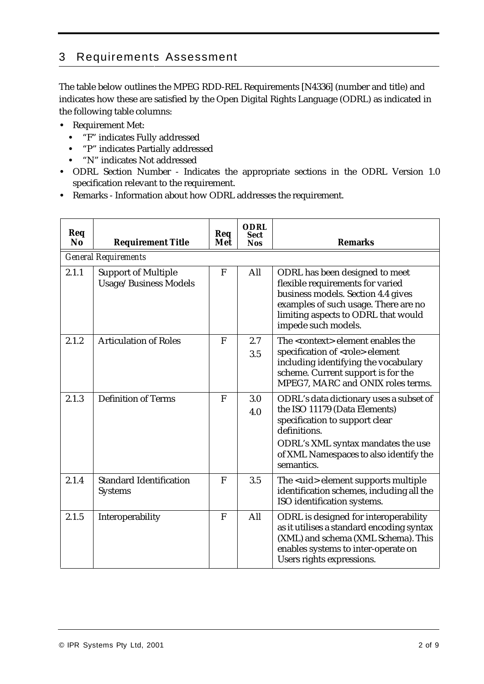# 3 Requirements Assessment

The table below outlines the MPEG RDD-REL Requirements [N4336] (number and title) and indicates how these are satisfied by the Open Digital Rights Language (ODRL) as indicated in the following table columns:

- **•** Requirement Met:
	- **•** "F" indicates Fully addressed
	- **•** "P" indicates Partially addressed
	- **•** "N" indicates Not addressed
- **•** ODRL Section Number Indicates the appropriate sections in the ODRL Version 1.0 specification relevant to the requirement.
- **•** Remarks Information about how ODRL addresses the requirement.

| Req<br><b>No</b> | <b>Requirement Title</b>                            | Req<br>Met | <b>ODRL</b><br><b>Sect</b><br><b>Nos</b> | <b>Remarks</b>                                                                                                                                                                                                           |
|------------------|-----------------------------------------------------|------------|------------------------------------------|--------------------------------------------------------------------------------------------------------------------------------------------------------------------------------------------------------------------------|
|                  | <b>General Requirements</b>                         |            |                                          |                                                                                                                                                                                                                          |
| 2.1.1            | <b>Support of Multiple</b><br>Usage/Business Models | ${\bf F}$  | All                                      | ODRL has been designed to meet<br>flexible requirements for varied<br>business models. Section 4.4 gives<br>examples of such usage. There are no<br>limiting aspects to ODRL that would<br>impede such models.           |
| 2.1.2            | <b>Articulation of Roles</b>                        | F          | 2.7<br>3.5                               | The <context> element enables the<br/>specification of <role> element<br/>including identifying the vocabulary<br/>scheme. Current support is for the<br/>MPEG7, MARC and ONIX roles terms.</role></context>             |
| 2.1.3            | <b>Definition of Terms</b>                          | F          | 3.0<br>4.0                               | ODRL's data dictionary uses a subset of<br>the ISO 11179 (Data Elements)<br>specification to support clear<br>definitions.<br>ODRL's XML syntax mandates the use<br>of XML Namespaces to also identify the<br>semantics. |
| 2.1.4            | <b>Standard Identification</b><br><b>Systems</b>    | F          | 3.5                                      | The <uid> element supports multiple<br/>identification schemes, including all the<br/>ISO identification systems.</uid>                                                                                                  |
| 2.1.5            | Interoperability                                    | F          | All                                      | ODRL is designed for interoperability<br>as it utilises a standard encoding syntax<br>(XML) and schema (XML Schema). This<br>enables systems to inter-operate on<br>Users rights expressions.                            |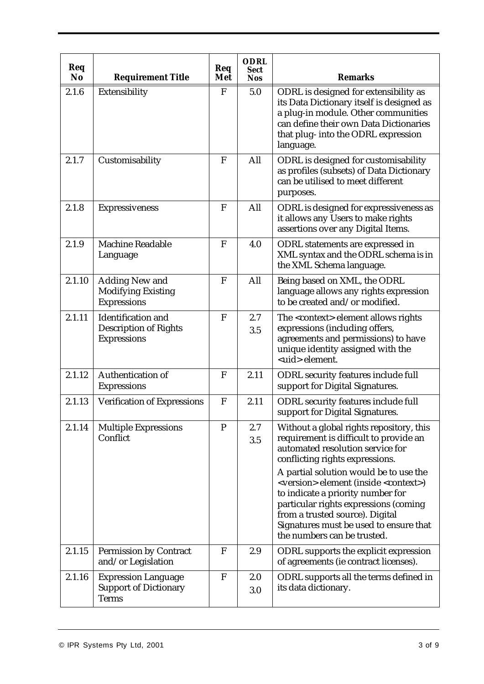| Req<br><b>No</b> | <b>Requirement Title</b>                                                        | Req<br>Met   | <b>ODRL</b><br><b>Sect</b><br><b>Nos</b> | <b>Remarks</b>                                                                                                                                                                                                                                                                                                                                                                                                                                                 |
|------------------|---------------------------------------------------------------------------------|--------------|------------------------------------------|----------------------------------------------------------------------------------------------------------------------------------------------------------------------------------------------------------------------------------------------------------------------------------------------------------------------------------------------------------------------------------------------------------------------------------------------------------------|
| 2.1.6            | <b>Extensibility</b>                                                            | F            | 5.0                                      | ODRL is designed for extensibility as<br>its Data Dictionary itself is designed as<br>a plug-in module. Other communities<br>can define their own Data Dictionaries<br>that plug- into the ODRL expression<br>language.                                                                                                                                                                                                                                        |
| 2.1.7            | Customisability                                                                 | F            | All                                      | ODRL is designed for customisability<br>as profiles (subsets) of Data Dictionary<br>can be utilised to meet different<br>purposes.                                                                                                                                                                                                                                                                                                                             |
| 2.1.8            | <b>Expressiveness</b>                                                           | $\mathbf{F}$ | All                                      | ODRL is designed for expressiveness as<br>it allows any Users to make rights<br>assertions over any Digital Items.                                                                                                                                                                                                                                                                                                                                             |
| 2.1.9            | <b>Machine Readable</b><br>Language                                             | $\mathbf{F}$ | 4.0                                      | <b>ODRL</b> statements are expressed in<br>XML syntax and the ODRL schema is in<br>the XML Schema language.                                                                                                                                                                                                                                                                                                                                                    |
| 2.1.10           | <b>Adding New and</b><br><b>Modifying Existing</b><br><b>Expressions</b>        | F            | All                                      | Being based on XML, the ODRL<br>language allows any rights expression<br>to be created and/or modified.                                                                                                                                                                                                                                                                                                                                                        |
| 2.1.11           | <b>Identification</b> and<br><b>Description of Rights</b><br><b>Expressions</b> | F            | 2.7<br>3.5                               | The <context> element allows rights<br/>expressions (including offers,<br/>agreements and permissions) to have<br/>unique identity assigned with the<br/><uid> element.</uid></context>                                                                                                                                                                                                                                                                        |
| 2.1.12           | <b>Authentication of</b><br><b>Expressions</b>                                  | $\mathbf{F}$ | 2.11                                     | <b>ODRL</b> security features include full<br>support for Digital Signatures.                                                                                                                                                                                                                                                                                                                                                                                  |
| 2.1.13           | <b>Verification of Expressions</b>                                              | F            | 2.11                                     | <b>ODRL</b> security features include full<br>support for Digital Signatures.                                                                                                                                                                                                                                                                                                                                                                                  |
| 2.1.14           | <b>Multiple Expressions</b><br>Conflict                                         | $\mathbf{P}$ | 2.7<br>3.5                               | Without a global rights repository, this<br>requirement is difficult to provide an<br>automated resolution service for<br>conflicting rights expressions.<br>A partial solution would be to use the<br><version> element (inside <context>)<br/>to indicate a priority number for<br/>particular rights expressions (coming<br/>from a trusted source). Digital<br/>Signatures must be used to ensure that<br/>the numbers can be trusted.</context></version> |
| 2.1.15           | <b>Permission by Contract</b><br>and/or Legislation                             | $\mathbf{F}$ | 2.9                                      | <b>ODRL</b> supports the explicit expression<br>of agreements (ie contract licenses).                                                                                                                                                                                                                                                                                                                                                                          |
| 2.1.16           | <b>Expression Language</b><br><b>Support of Dictionary</b><br><b>Terms</b>      | F            | 2.0<br>3.0                               | ODRL supports all the terms defined in<br>its data dictionary.                                                                                                                                                                                                                                                                                                                                                                                                 |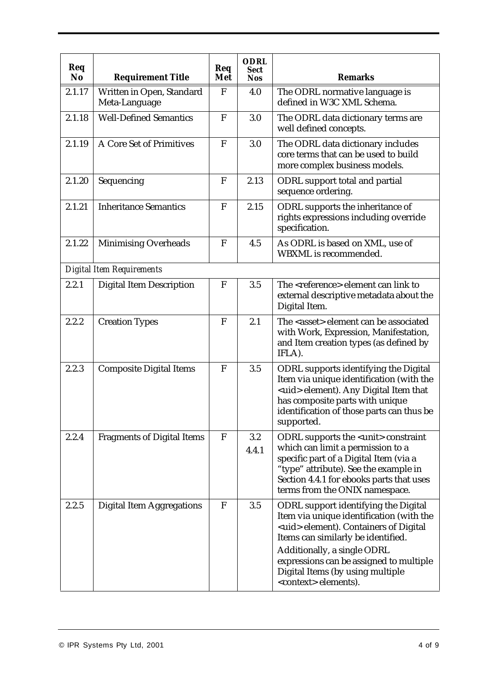| Req<br>N <sub>o</sub> | <b>Requirement Title</b>                   | Req<br>Met   | <b>ODRL</b><br><b>Sect</b><br><b>Nos</b> | <b>Remarks</b>                                                                                                                                                                                                                                               |
|-----------------------|--------------------------------------------|--------------|------------------------------------------|--------------------------------------------------------------------------------------------------------------------------------------------------------------------------------------------------------------------------------------------------------------|
| 2.1.17                | Written in Open, Standard<br>Meta-Language | $\mathbf{F}$ | 4.0                                      | The ODRL normative language is<br>defined in W3C XML Schema.                                                                                                                                                                                                 |
| 2.1.18                | <b>Well-Defined Semantics</b>              | F            | 3.0                                      | The ODRL data dictionary terms are<br>well defined concepts.                                                                                                                                                                                                 |
| 2.1.19                | <b>A Core Set of Primitives</b>            | $\mathbf F$  | 3.0                                      | The ODRL data dictionary includes<br>core terms that can be used to build<br>more complex business models.                                                                                                                                                   |
| 2.1.20                | Sequencing                                 | F            | 2.13                                     | <b>ODRL</b> support total and partial<br>sequence ordering.                                                                                                                                                                                                  |
| 2.1.21                | <b>Inheritance Semantics</b>               | F            | 2.15                                     | ODRL supports the inheritance of<br>rights expressions including override<br>specification.                                                                                                                                                                  |
| 2.1.22                | <b>Minimising Overheads</b>                | F            | 4.5                                      | As ODRL is based on XML, use of<br><b>WBXML</b> is recommended.                                                                                                                                                                                              |
|                       | Digital Item Requirements                  |              |                                          |                                                                                                                                                                                                                                                              |
| 2.2.1                 | <b>Digital Item Description</b>            | ${\bf F}$    | 3.5                                      | The <reference> element can link to<br/>external descriptive metadata about the<br/>Digital Item.</reference>                                                                                                                                                |
| 2.2.2                 | <b>Creation Types</b>                      | F            | 2.1                                      | The <asset> element can be associated<br/>with Work, Expression, Manifestation,<br/>and Item creation types (as defined by<br/>IFLA).</asset>                                                                                                                |
| 2.2.3                 | <b>Composite Digital Items</b>             | $\mathbf F$  | 3.5                                      | <b>ODRL</b> supports identifying the Digital<br>Item via unique identification (with the<br><uid> element). Any Digital Item that<br/>has composite parts with unique<br/>identification of those parts can thus be<br/>supported.</uid>                     |
| 2.2.4                 | <b>Fragments of Digital Items</b>          | F            | 3.2<br>4.4.1                             | <b>ODRL</b> supports the <unit> constraint<br/>which can limit a permission to a<br/>specific part of a Digital Item (via a<br/>"type" attribute). See the example in<br/>Section 4.4.1 for ebooks parts that uses<br/>terms from the ONIX namespace.</unit> |
| 2.2.5                 | <b>Digital Item Aggregations</b>           | F            | 3.5                                      | <b>ODRL</b> support identifying the Digital<br>Item via unique identification (with the<br><uid> element). Containers of Digital<br/>Items can similarly be identified.<br/>Additionally, a single ODRL<br/>expressions can be assigned to multiple</uid>    |
|                       |                                            |              |                                          | Digital Items (by using multiple<br><context> elements).</context>                                                                                                                                                                                           |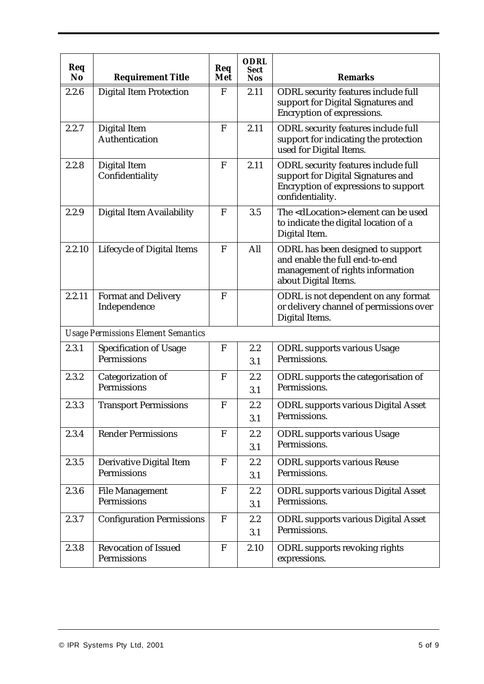| Req<br><b>No</b> | <b>Requirement Title</b>                            | Req<br>Met  | <b>ODRL</b><br><b>Sect</b><br><b>Nos</b> | <b>Remarks</b>                                                                                                                                      |  |  |  |
|------------------|-----------------------------------------------------|-------------|------------------------------------------|-----------------------------------------------------------------------------------------------------------------------------------------------------|--|--|--|
| 2.2.6            | <b>Digital Item Protection</b>                      | $\mathbf F$ | 2.11                                     | <b>ODRL</b> security features include full<br>support for Digital Signatures and<br><b>Encryption of expressions.</b>                               |  |  |  |
| 2.2.7            | <b>Digital Item</b><br><b>Authentication</b>        | $\mathbf F$ | 2.11                                     | <b>ODRL</b> security features include full<br>support for indicating the protection<br>used for Digital Items.                                      |  |  |  |
| 2.2.8            | <b>Digital Item</b><br>Confidentiality              | $\mathbf F$ | 2.11                                     | <b>ODRL</b> security features include full<br>support for Digital Signatures and<br><b>Encryption of expressions to support</b><br>confidentiality. |  |  |  |
| 2.2.9            | <b>Digital Item Availability</b>                    | F           | 3.5                                      | The <dlocation> element can be used<br/>to indicate the digital location of a<br/>Digital Item.</dlocation>                                         |  |  |  |
| 2.2.10           | <b>Lifecycle of Digital Items</b>                   | $\mathbf F$ | All                                      | ODRL has been designed to support<br>and enable the full end-to-end<br>management of rights information<br>about Digital Items.                     |  |  |  |
| 2.2.11           | <b>Format and Delivery</b><br>Independence          | F           |                                          | ODRL is not dependent on any format<br>or delivery channel of permissions over<br>Digital Items.                                                    |  |  |  |
|                  | <b>Usage Permissions Element Semantics</b>          |             |                                          |                                                                                                                                                     |  |  |  |
| 2.3.1            | <b>Specification of Usage</b><br><b>Permissions</b> | $\mathbf F$ | 2.2<br>3.1                               | <b>ODRL</b> supports various Usage<br>Permissions.                                                                                                  |  |  |  |
| 2.3.2            | Categorization of<br><b>Permissions</b>             | F           | 2.2<br>3.1                               | ODRL supports the categorisation of<br>Permissions.                                                                                                 |  |  |  |
| 2.3.3            | <b>Transport Permissions</b>                        | F           | 2.2<br>3.1                               | <b>ODRL</b> supports various Digital Asset<br>Permissions.                                                                                          |  |  |  |
| 2.3.4            | <b>Render Permissions</b>                           | $\mathbf F$ | 2.2<br>3.1                               | <b>ODRL</b> supports various Usage<br>Permissions.                                                                                                  |  |  |  |
| 2.3.5            | Derivative Digital Item<br><b>Permissions</b>       | $\mathbf F$ | 2.2<br>3.1                               | <b>ODRL</b> supports various Reuse<br>Permissions.                                                                                                  |  |  |  |
| 2.3.6            | <b>File Management</b><br><b>Permissions</b>        | $\mathbf F$ | 2.2<br>3.1                               | <b>ODRL</b> supports various Digital Asset<br>Permissions.                                                                                          |  |  |  |
| 2.3.7            | <b>Configuration Permissions</b>                    | $\mathbf F$ | 2.2<br>3.1                               | <b>ODRL</b> supports various Digital Asset<br>Permissions.                                                                                          |  |  |  |
| 2.3.8            | <b>Revocation of Issued</b><br><b>Permissions</b>   | F           | 2.10                                     | <b>ODRL</b> supports revoking rights<br>expressions.                                                                                                |  |  |  |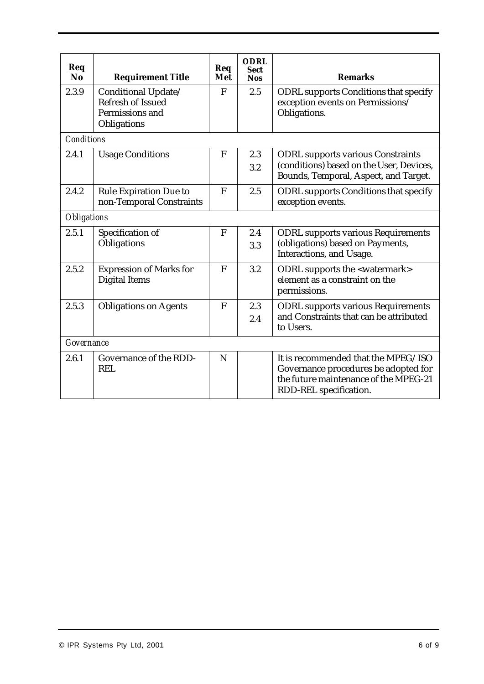| Req<br>N <sub>0</sub> | <b>Requirement Title</b>                                  | Req<br>Met | <b>ODRL</b><br><b>Sect</b><br><b>Nos</b> | <b>Remarks</b>                                                                    |  |  |
|-----------------------|-----------------------------------------------------------|------------|------------------------------------------|-----------------------------------------------------------------------------------|--|--|
| 2.3.9                 | Conditional Update/                                       | F          | 2.5                                      | <b>ODRL</b> supports Conditions that specify                                      |  |  |
|                       | <b>Refresh of Issued</b>                                  |            |                                          | exception events on Permissions/                                                  |  |  |
|                       | Permissions and                                           |            |                                          | Obligations.                                                                      |  |  |
|                       | Obligations                                               |            |                                          |                                                                                   |  |  |
|                       | Conditions                                                |            |                                          |                                                                                   |  |  |
| 2.4.1                 | <b>Usage Conditions</b>                                   | F          | 2.3                                      | <b>ODRL</b> supports various Constraints                                          |  |  |
|                       |                                                           |            | 3.2                                      | (conditions) based on the User, Devices,<br>Bounds, Temporal, Aspect, and Target. |  |  |
| 2.4.2                 | <b>Rule Expiration Due to</b><br>non-Temporal Constraints | F          | 2.5                                      | <b>ODRL</b> supports Conditions that specify<br>exception events.                 |  |  |
| Obligations           |                                                           |            |                                          |                                                                                   |  |  |
| 2.5.1                 | Specification of                                          | F          | 2.4                                      | <b>ODRL</b> supports various Requirements                                         |  |  |
|                       | Obligations                                               |            | 3.3                                      | (obligations) based on Payments,<br>Interactions, and Usage.                      |  |  |
| 2.5.2                 | <b>Expression of Marks for</b>                            | F          | 3.2                                      | <b>ODRL</b> supports the <watermark></watermark>                                  |  |  |
|                       | <b>Digital Items</b>                                      |            |                                          | element as a constraint on the<br>permissions.                                    |  |  |
| 2.5.3                 | <b>Obligations on Agents</b>                              | F          | 2.3                                      | <b>ODRL</b> supports various Requirements                                         |  |  |
|                       |                                                           |            | 2.4                                      | and Constraints that can be attributed<br>to Users.                               |  |  |
| Governance            |                                                           |            |                                          |                                                                                   |  |  |
| 2.6.1                 | <b>Governance of the RDD-</b>                             | N          |                                          | It is recommended that the MPEG/ISO                                               |  |  |
|                       | <b>REL</b>                                                |            |                                          | Governance procedures be adopted for                                              |  |  |
|                       |                                                           |            |                                          | the future maintenance of the MPEG-21                                             |  |  |
|                       |                                                           |            |                                          | RDD-REL specification.                                                            |  |  |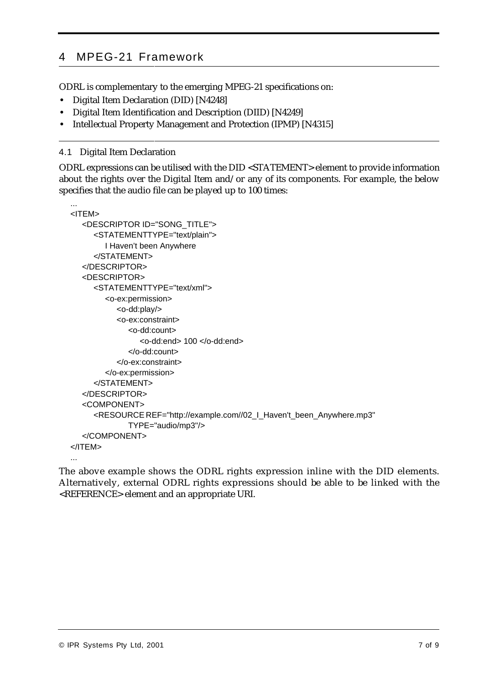## 4 MPEG-21 Framework

ODRL is complementary to the emerging MPEG-21 specifications on:

- **•** Digital Item Declaration (DID) [N4248]
- **•** Digital Item Identification and Description (DIID) [N4249]
- **•** Intellectual Property Management and Protection (IPMP) [N4315]

#### 4.1 Digital Item Declaration

ODRL expressions can be utilised with the DID <STATEMENT> element to provide information about the rights over the Digital Item and/or any of its components. For example, the below specifies that the audio file can be played up to 100 times:

```
...
<ITEM>
  <DESCRIPTOR ID="SONG_TITLE">
     <STATEMENTTYPE="text/plain">
        I Haven't been Anywhere
     </STATEMENT>
  </DESCRIPTOR>
  <DESCRIPTOR>
     <STATEMENTTYPE="text/xml">
        <o-ex:permission>
          <o-dd:play/>
          <o-ex:constraint>
             <o-dd:count>
                <o-dd:end> 100 </o-dd:end>
             </o-dd:count>
          </o-ex:constraint>
        </o-ex:permission>
     </STATEMENT>
  </DESCRIPTOR>
  <COMPONENT>
     <RESOURCE REF="http://example.com//02_I_Haven't_been_Anywhere.mp3"
             TYPE="audio/mp3"/>
  </COMPONENT>
</ITEM>
...
```
The above example shows the ODRL rights expression inline with the DID elements. Alternatively, external ODRL rights expressions should be able to be linked with the <REFERENCE> element and an appropriate URI.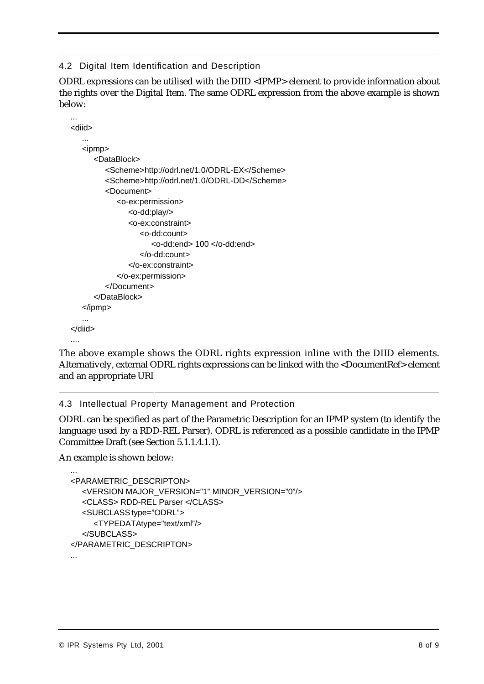4.2 Digital Item Identification and Description

ODRL expressions can be utilised with the DIID <IPMP> element to provide information about the rights over the Digital Item. The same ODRL expression from the above example is shown below:

```
<diid>
   ...
  <ipmp>
      <DataBlock>
        <Scheme>http://odrl.net/1.0/ODRL-EX</Scheme>
        <Scheme>http://odrl.net/1.0/ODRL-DD</Scheme>
        <Document>
            <o-ex:permission>
               <o-dd:play/>
               <o-ex:constraint>
                  <o-dd:count>
                     <o-dd:end> 100 </o-dd:end>
                  </o-dd:count>
               </o-ex:constraint>
            </o-ex:permission>
        </Document>
      </DataBlock>
  </ipmp>
   ...
</diid>
```
The above example shows the ODRL rights expression inline with the DIID elements. Alternatively, external ODRL rights expressions can be linked with the <DocumentRef> element and an appropriate URI

4.3 Intellectual Property Management and Protection

ODRL can be specified as part of the Parametric Description for an IPMP system (to identify the language used by a RDD-REL Parser). ODRL is referenced as a possible candidate in the IPMP Committee Draft (see Section 5.1.1.4.1.1).

An example is shown below:

....

```
...
<PARAMETRIC_DESCRIPTON>
  <VERSION MAJOR_VERSION="1" MINOR_VERSION="0"/>
  <CLASS> RDD-REL Parser </CLASS>
  <SUBCLASS type="ODRL">
     <TYPEDATAtype="text/xml"/>
  </SUBCLASS>
</PARAMETRIC_DESCRIPTON>
...
```